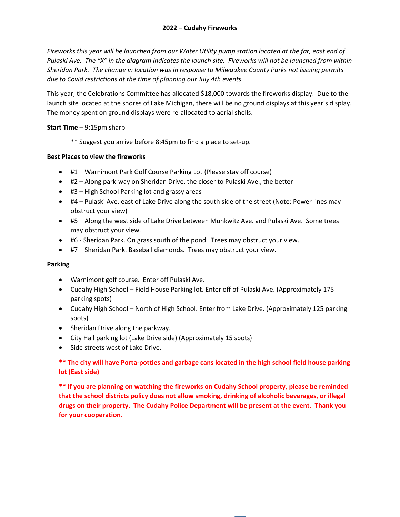*Fireworks this year will be launched from our Water Utility pump station located at the far, east end of Pulaski Ave. The "X" in the diagram indicates the launch site. Fireworks will not be launched from within Sheridan Park. The change in location was in response to Milwaukee County Parks not issuing permits due to Covid restrictions at the time of planning our July 4th events.* 

This year, the Celebrations Committee has allocated \$18,000 towards the fireworks display. Due to the launch site located at the shores of Lake Michigan, there will be no ground displays at this year's display. The money spent on ground displays were re-allocated to aerial shells.

### **Start Time** – 9:15pm sharp

\*\* Suggest you arrive before 8:45pm to find a place to set-up.

### **Best Places to view the fireworks**

- #1 Warnimont Park Golf Course Parking Lot (Please stay off course)
- #2 Along park-way on Sheridan Drive, the closer to Pulaski Ave., the better
- #3 High School Parking lot and grassy areas
- #4 Pulaski Ave. east of Lake Drive along the south side of the street (Note: Power lines may obstruct your view)
- #5 Along the west side of Lake Drive between Munkwitz Ave. and Pulaski Ave. Some trees may obstruct your view.
- #6 Sheridan Park. On grass south of the pond. Trees may obstruct your view.
- #7 Sheridan Park. Baseball diamonds. Trees may obstruct your view.

### **Parking**

- Warnimont golf course. Enter off Pulaski Ave.
- Cudahy High School Field House Parking lot. Enter off of Pulaski Ave. (Approximately 175 parking spots)
- Cudahy High School North of High School. Enter from Lake Drive. (Approximately 125 parking spots)
- Sheridan Drive along the parkway.
- City Hall parking lot (Lake Drive side) (Approximately 15 spots)
- Side streets west of Lake Drive.

## **\*\* The city will have Porta-potties and garbage cans located in the high school field house parking lot (East side)**

**\*\* If you are planning on watching the fireworks on Cudahy School property, please be reminded that the school districts policy does not allow smoking, drinking of alcoholic beverages, or illegal drugs on their property. The Cudahy Police Department will be present at the event. Thank you for your cooperation.**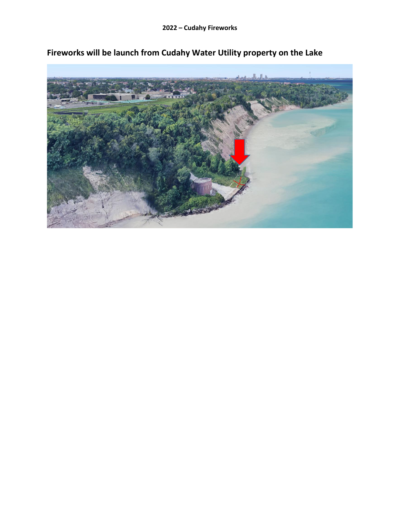

**Fireworks will be launch from Cudahy Water Utility property on the Lake**